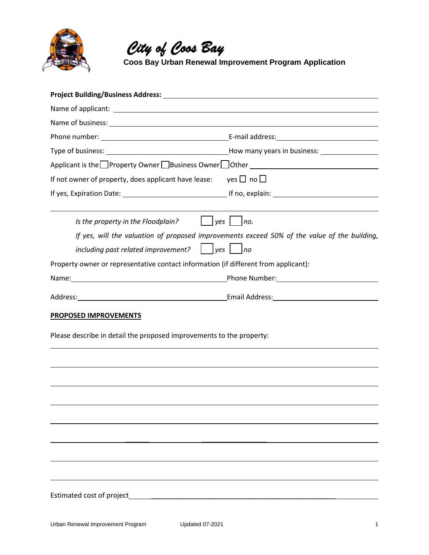

 *City of Coos Bay*  **Coos Bay Urban Renewal Improvement Program Application**

| Project Building/Business Address: National Contract of Contract of Contract of Contract of Contract of Contract of Contract of Contract of Contract of Contract of Contract of Contract of Contract of Contract of Contract o |                                                                                                                                        |
|--------------------------------------------------------------------------------------------------------------------------------------------------------------------------------------------------------------------------------|----------------------------------------------------------------------------------------------------------------------------------------|
|                                                                                                                                                                                                                                |                                                                                                                                        |
|                                                                                                                                                                                                                                |                                                                                                                                        |
|                                                                                                                                                                                                                                |                                                                                                                                        |
|                                                                                                                                                                                                                                |                                                                                                                                        |
| Applicant is the Property Owner Business Owner Other ___________________________                                                                                                                                               |                                                                                                                                        |
| If not owner of property, does applicant have lease: yes $\Box$ no $\Box$                                                                                                                                                      |                                                                                                                                        |
| If yes, Expiration Date: 100 million control of the US of the US of the US of the US of the US of the US of the US of the US of the US of the US of the US of the US of the US of the US of the US of the US of the US of the  |                                                                                                                                        |
| $yes$     no.<br>Is the property in the Floodplain?                                                                                                                                                                            |                                                                                                                                        |
| including past related improvement?                                                                                                                                                                                            | If yes, will the valuation of proposed improvements exceed 50% of the value of the building,<br>$\vert$ $\vert$ yes $\vert$ $\vert$ no |
| Property owner or representative contact information (if different from applicant):                                                                                                                                            |                                                                                                                                        |
|                                                                                                                                                                                                                                |                                                                                                                                        |
| Address: National Address: Address: Address: Address: Address: Address: Address: Address: Address: Address: Address: Address: Address: Address: Address: Address: Address: Address: Address: Address: Address: Address: Addres |                                                                                                                                        |
| <b>PROPOSED IMPROVEMENTS</b>                                                                                                                                                                                                   |                                                                                                                                        |
| Please describe in detail the proposed improvements to the property:                                                                                                                                                           |                                                                                                                                        |
|                                                                                                                                                                                                                                |                                                                                                                                        |
|                                                                                                                                                                                                                                |                                                                                                                                        |
|                                                                                                                                                                                                                                |                                                                                                                                        |
|                                                                                                                                                                                                                                |                                                                                                                                        |
|                                                                                                                                                                                                                                |                                                                                                                                        |
|                                                                                                                                                                                                                                |                                                                                                                                        |
|                                                                                                                                                                                                                                |                                                                                                                                        |
| Estimated cost of project                                                                                                                                                                                                      |                                                                                                                                        |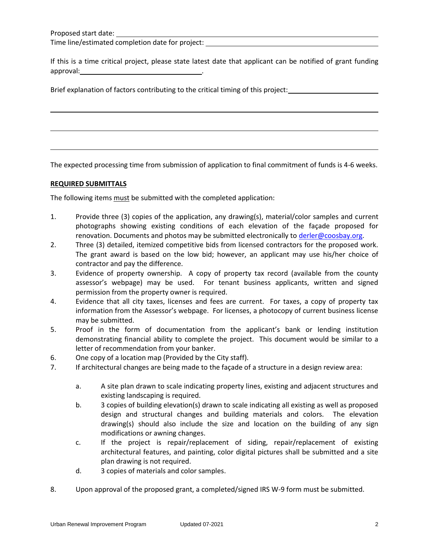Time line/estimated completion date for project:

If this is a time critical project, please state latest date that applicant can be notified of grant funding approval: .

Brief explanation of factors contributing to the critical timing of this project:

The expected processing time from submission of application to final commitment of funds is 4-6 weeks.

## **REQUIRED SUBMITTALS**

\_\_\_\_\_\_\_\_\_\_\_\_

The following items must be submitted with the completed application:

- 1. Provide three (3) copies of the application, any drawing(s), material/color samples and current photographs showing existing conditions of each elevation of the façade proposed for renovation. Documents and photos may be submitted electronically to [derler@coosbay.org.](mailto:derler@coosbay.org)
- 2. Three (3) detailed, itemized competitive bids from licensed contractors for the proposed work. The grant award is based on the low bid; however, an applicant may use his/her choice of contractor and pay the difference.
- 3. Evidence of property ownership. A copy of property tax record (available from the county assessor's webpage) may be used. For tenant business applicants, written and signed permission from the property owner is required.
- 4. Evidence that all city taxes, licenses and fees are current. For taxes, a copy of property tax information from the Assessor's webpage. For licenses, a photocopy of current business license may be submitted.
- 5. Proof in the form of documentation from the applicant's bank or lending institution demonstrating financial ability to complete the project. This document would be similar to a letter of recommendation from your banker.
- 6. One copy of a location map (Provided by the City staff).
- 7. If architectural changes are being made to the façade of a structure in a design review area:
	- a. A site plan drawn to scale indicating property lines, existing and adjacent structures and existing landscaping is required.
	- b. 3 copies of building elevation(s) drawn to scale indicating all existing as well as proposed design and structural changes and building materials and colors. The elevation drawing(s) should also include the size and location on the building of any sign modifications or awning changes.
	- c. If the project is repair/replacement of siding, repair/replacement of existing architectural features, and painting, color digital pictures shall be submitted and a site plan drawing is not required.
	- d. 3 copies of materials and color samples.
- 8. Upon approval of the proposed grant, a completed/signed IRS W-9 form must be submitted.